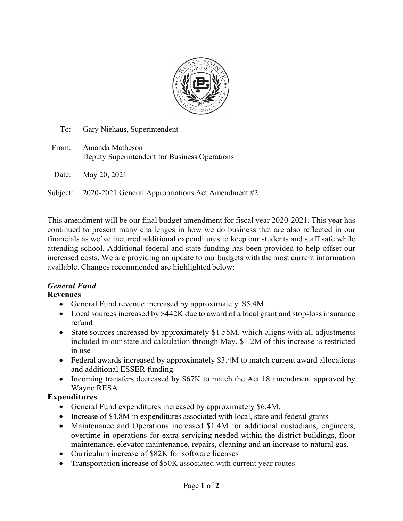

| To: | Gary Niehaus, Superintendent |  |  |
|-----|------------------------------|--|--|
|     |                              |  |  |

From: Amanda Matheson Deputy Superintendent for Business Operations Date: May 20, 2021

Subject: 2020-2021 General Appropriations Act Amendment #2

This amendment will be our final budget amendment for fiscal year 2020-2021. This year has continued to present many challenges in how we do business that are also reflected in our financials as we've incurred additional expenditures to keep our students and staff safe while attending school. Additional federal and state funding has been provided to help offset our increased costs. We are providing an update to our budgets with the most current information available. Changes recommended are highlighted below:

#### *General Fund* **Revenues**

- General Fund revenue increased by approximately \$5.4M.
- Local sources increased by \$442K due to award of a local grant and stop-loss insurance refund
- State sources increased by approximately \$1.55M, which aligns with all adjustments included in our state aid calculation through May. \$1.2M of this increase is restricted in use
- Federal awards increased by approximately \$3.4M to match current award allocations and additional ESSER funding
- Incoming transfers decreased by \$67K to match the Act 18 amendment approved by Wayne RESA

### **Expenditures**

- General Fund expenditures increased by approximately \$6.4M.
- Increase of \$4.8M in expenditures associated with local, state and federal grants
- Maintenance and Operations increased \$1.4M for additional custodians, engineers, overtime in operations for extra servicing needed within the district buildings, floor maintenance, elevator maintenance, repairs, cleaning and an increase to natural gas.
- Curriculum increase of \$82K for software licenses
- Transportation increase of \$50K associated with current year routes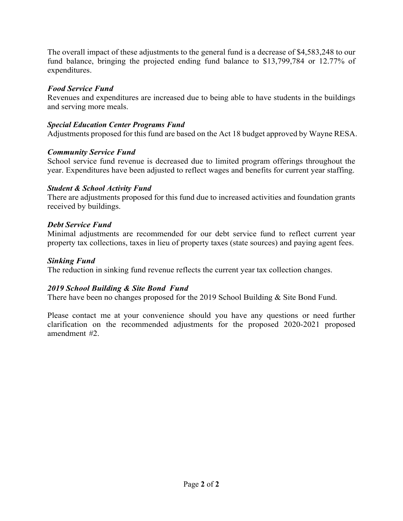The overall impact of these adjustments to the general fund is a decrease of \$4,583,248 to our fund balance, bringing the projected ending fund balance to \$13,799,784 or 12.77% of expenditures.

### *Food Service Fund*

Revenues and expenditures are increased due to being able to have students in the buildings and serving more meals.

### *Special Education Center Programs Fund*

Adjustments proposed for this fund are based on the Act 18 budget approved by Wayne RESA.

# *Community Service Fund*

School service fund revenue is decreased due to limited program offerings throughout the year. Expenditures have been adjusted to reflect wages and benefits for current year staffing.

### *Student & School Activity Fund*

There are adjustments proposed for this fund due to increased activities and foundation grants received by buildings.

# *Debt Service Fund*

Minimal adjustments are recommended for our debt service fund to reflect current year property tax collections, taxes in lieu of property taxes (state sources) and paying agent fees.

### *Sinking Fund*

The reduction in sinking fund revenue reflects the current year tax collection changes.

# *2019 School Building & Site Bond Fund*

There have been no changes proposed for the 2019 School Building & Site Bond Fund.

Please contact me at your convenience should you have any questions or need further clarification on the recommended adjustments for the proposed 2020-2021 proposed amendment #2.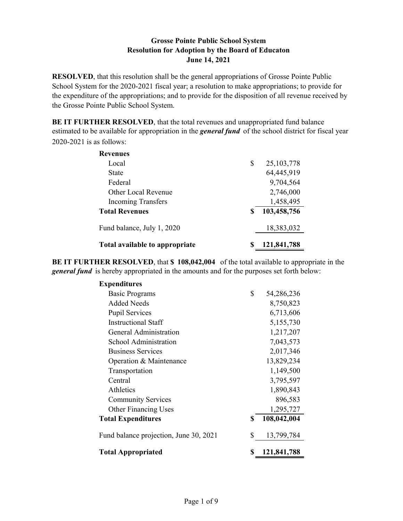**RESOLVED**, that this resolution shall be the general appropriations of Grosse Pointe Public School System for the 2020-2021 fiscal year; a resolution to make appropriations; to provide for the expenditure of the appropriations; and to provide for the disposition of all revenue received by the Grosse Pointe Public School System.

**BE IT FURTHER RESOLVED**, that the total revenues and unappropriated fund balance estimated to be available for appropriation in the *general fund* of the school district for fiscal year 2020-2021 is as follows:

| <b>Revenues</b>                |    |              |
|--------------------------------|----|--------------|
| Local                          | \$ | 25, 103, 778 |
| State                          |    | 64,445,919   |
| Federal                        |    | 9,704,564    |
| Other Local Revenue            |    | 2,746,000    |
| <b>Incoming Transfers</b>      |    | 1,458,495    |
| <b>Total Revenues</b>          | S  | 103,458,756  |
| Fund balance, July 1, 2020     |    | 18,383,032   |
| Total available to appropriate | S  | 121,841,788  |

**BE IT FURTHER RESOLVED**, that **\$ 108,042,004** of the total available to appropriate in the *general fund* is hereby appropriated in the amounts and for the purposes set forth below:

| <b>Expenditures</b>                    |    |             |
|----------------------------------------|----|-------------|
| <b>Basic Programs</b>                  | \$ | 54,286,236  |
| <b>Added Needs</b>                     |    | 8,750,823   |
| <b>Pupil Services</b>                  |    | 6,713,606   |
| <b>Instructional Staff</b>             |    | 5,155,730   |
| General Administration                 |    | 1,217,207   |
| School Administration                  |    | 7,043,573   |
| <b>Business Services</b>               |    | 2,017,346   |
| Operation & Maintenance                |    | 13,829,234  |
| Transportation                         |    | 1,149,500   |
| Central                                |    | 3,795,597   |
| Athletics                              |    | 1,890,843   |
| <b>Community Services</b>              |    | 896,583     |
| <b>Other Financing Uses</b>            |    | 1,295,727   |
| <b>Total Expenditures</b>              | S  | 108,042,004 |
| Fund balance projection, June 30, 2021 | \$ | 13,799,784  |
| <b>Total Appropriated</b>              |    | 121,841,788 |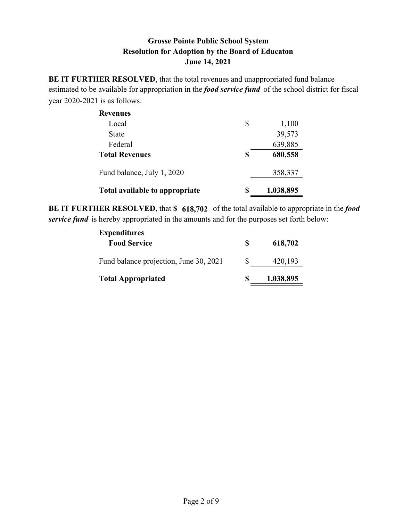**BE IT FURTHER RESOLVED**, that the total revenues and unappropriated fund balance estimated to be available for appropriation in the *food service fund* of the school district for fiscal year 2020-2021 is as follows:

| <b>Revenues</b>                |    |           |
|--------------------------------|----|-----------|
| Local                          | \$ | 1,100     |
| <b>State</b>                   |    | 39,573    |
| Federal                        |    | 639,885   |
| <b>Total Revenues</b>          | \$ | 680,558   |
| Fund balance, July 1, 2020     |    | 358,337   |
| Total available to appropriate | S  | 1,038,895 |

**BE IT FURTHER RESOLVED**, that **\$ 618,702** of the total available to appropriate in the *food service fund* is hereby appropriated in the amounts and for the purposes set forth below:

| <b>Expenditures</b>                    |          |           |
|----------------------------------------|----------|-----------|
| <b>Food Service</b>                    | S        | 618,702   |
| Fund balance projection, June 30, 2021 | <b>S</b> | 420,193   |
| <b>Total Appropriated</b>              | S        | 1,038,895 |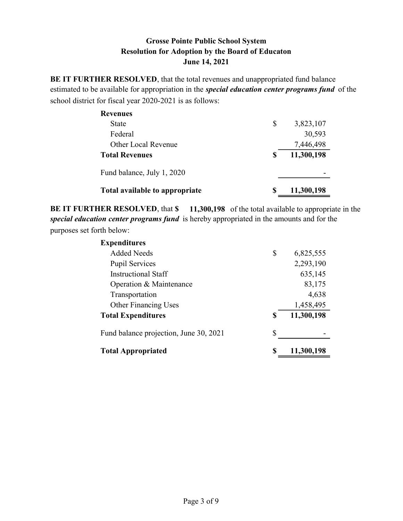BE IT FURTHER RESOLVED, that the total revenues and unappropriated fund balance estimated to be available for appropriation in the *special education center programs fund* of the school district for fiscal year 2020-2021 is as follows:

| <b>Revenues</b>                |                  |
|--------------------------------|------------------|
| <b>State</b>                   | \$<br>3,823,107  |
| Federal                        | 30,593           |
| <b>Other Local Revenue</b>     | 7,446,498        |
| <b>Total Revenues</b>          | \$<br>11,300,198 |
| Fund balance, July 1, 2020     |                  |
| Total available to appropriate | \$<br>11,300,198 |

BE IT FURTHER RESOLVED, that \$ 11,300,198 of the total available to appropriate in the special education center programs fund is hereby appropriated in the amounts and for the purposes set forth below:

| <b>Expenditures</b>                    |                  |
|----------------------------------------|------------------|
| <b>Added Needs</b>                     | \$<br>6,825,555  |
| <b>Pupil Services</b>                  | 2,293,190        |
| Instructional Staff                    | 635,145          |
| Operation & Maintenance                | 83,175           |
| Transportation                         | 4,638            |
| <b>Other Financing Uses</b>            | 1,458,495        |
| <b>Total Expenditures</b>              | \$<br>11,300,198 |
| Fund balance projection, June 30, 2021 | \$               |
| <b>Total Appropriated</b>              | \$<br>11,300,198 |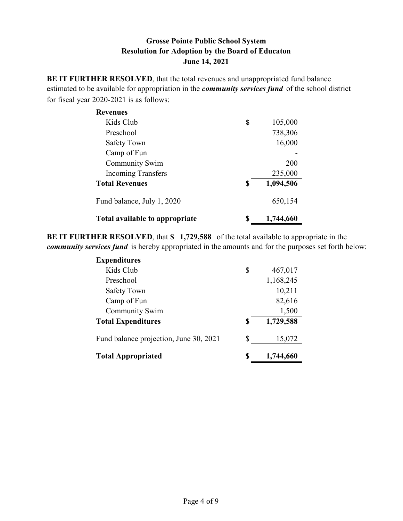**BE IT FURTHER RESOLVED**, that the total revenues and unappropriated fund balance estimated to be available for appropriation in the *community services fund* of the school district for fiscal year 2020-2021 is as follows:

| <b>Revenues</b>                |    |           |
|--------------------------------|----|-----------|
| Kids Club                      | \$ | 105,000   |
| Preschool                      |    | 738,306   |
| Safety Town                    |    | 16,000    |
| Camp of Fun                    |    |           |
| <b>Community Swim</b>          |    | 200       |
| <b>Incoming Transfers</b>      |    | 235,000   |
| <b>Total Revenues</b>          | \$ | 1,094,506 |
| Fund balance, July 1, 2020     |    | 650,154   |
| Total available to appropriate | S  | 1,744,660 |

**BE IT FURTHER RESOLVED**, that **\$ 1,729,588** of the total available to appropriate in the *community services fund* is hereby appropriated in the amounts and for the purposes set forth below:

| <b>Expenditures</b>                    |    |           |
|----------------------------------------|----|-----------|
| Kids Club                              | \$ | 467,017   |
| Preschool                              |    | 1,168,245 |
| <b>Safety Town</b>                     |    | 10,211    |
| Camp of Fun                            |    | 82,616    |
| <b>Community Swim</b>                  |    | 1,500     |
| <b>Total Expenditures</b>              | S  | 1,729,588 |
| Fund balance projection, June 30, 2021 | S  | 15,072    |
| <b>Total Appropriated</b>              | S  | 1,744,660 |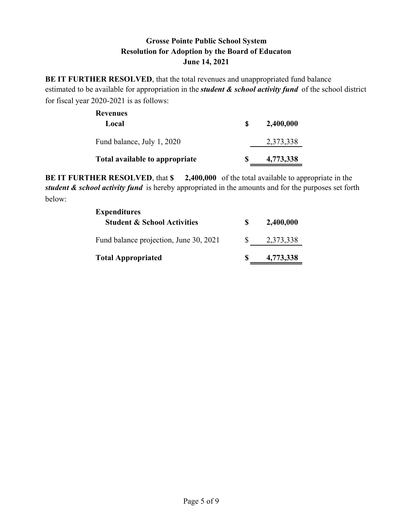**BE IT FURTHER RESOLVED**, that the total revenues and unappropriated fund balance estimated to be available for appropriation in the *student & school activity fund* of the school district for fiscal year 2020-2021 is as follows:

| Revenues<br>Local              | S | 2,400,000 |
|--------------------------------|---|-----------|
| Fund balance, July 1, 2020     |   | 2,373,338 |
| Total available to appropriate |   | 4,773,338 |

**BE IT FURTHER RESOLVED**, that **\$ 2,400,000** of the total available to appropriate in the *student & school activity fund* is hereby appropriated in the amounts and for the purposes set forth below:

| <b>Expenditures</b>                    |              |           |
|----------------------------------------|--------------|-----------|
| <b>Student &amp; School Activities</b> | S            | 2,400,000 |
| Fund balance projection, June 30, 2021 | <sup>S</sup> | 2,373,338 |
| <b>Total Appropriated</b>              | S            | 4,773,338 |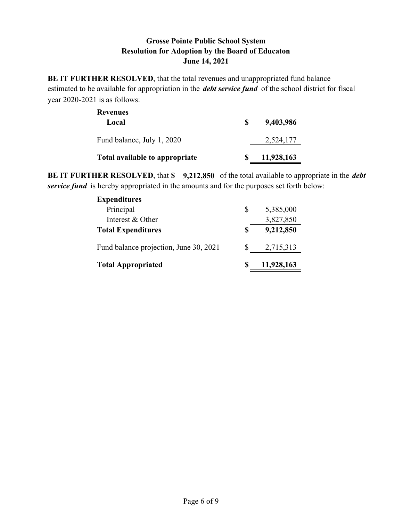**BE IT FURTHER RESOLVED**, that the total revenues and unappropriated fund balance estimated to be available for appropriation in the *debt service fund* of the school district for fiscal year 2020-2021 is as follows:

| <b>Revenues</b><br>Local       | S. | 9,403,986  |
|--------------------------------|----|------------|
| Fund balance, July 1, 2020     |    | 2,524,177  |
| Total available to appropriate |    | 11,928,163 |

**BE IT FURTHER RESOLVED**, that **\$ 9,212,850** of the total available to appropriate in the *debt service fund* is hereby appropriated in the amounts and for the purposes set forth below:

| <b>Expenditures</b>                    |   |            |
|----------------------------------------|---|------------|
| Principal                              | S | 5,385,000  |
| Interest & Other                       |   | 3,827,850  |
| <b>Total Expenditures</b>              | S | 9,212,850  |
| Fund balance projection, June 30, 2021 |   | 2,715,313  |
| <b>Total Appropriated</b>              |   | 11,928,163 |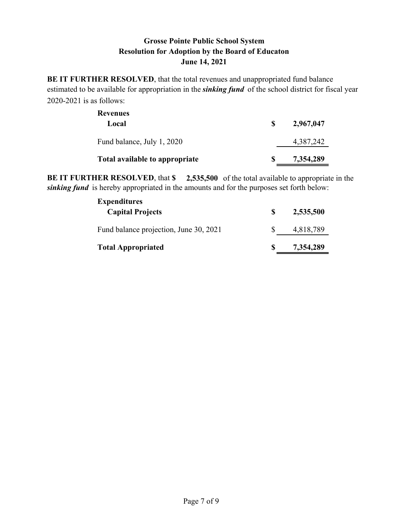**BE IT FURTHER RESOLVED**, that the total revenues and unappropriated fund balance estimated to be available for appropriation in the *sinking fund* of the school district for fiscal year 2020-2021 is as follows:

| <b>Revenues</b><br>Local       | S | 2,967,047 |
|--------------------------------|---|-----------|
| Fund balance, July 1, 2020     |   | 4,387,242 |
| Total available to appropriate | S | 7,354,289 |

**BE IT FURTHER RESOLVED**, that **\$ 2,535,500** of the total available to appropriate in the *sinking fund* is hereby appropriated in the amounts and for the purposes set forth below:

| <b>Expenditures</b><br><b>Capital Projects</b> | S | 2,535,500 |
|------------------------------------------------|---|-----------|
| Fund balance projection, June 30, 2021         |   | 4,818,789 |
| <b>Total Appropriated</b>                      | S | 7,354,289 |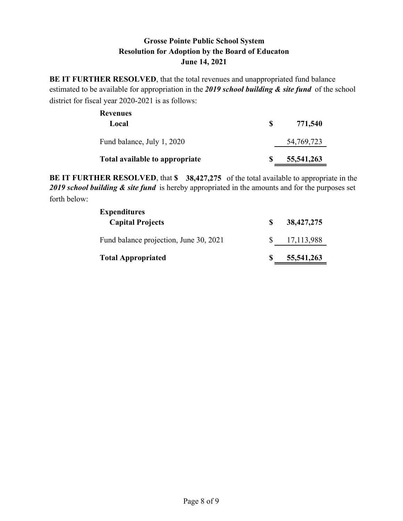**BE IT FURTHER RESOLVED**, that the total revenues and unappropriated fund balance estimated to be available for appropriation in the *2019 school building & site fund* of the school district for fiscal year 2020-2021 is as follows:

| Revenues<br>Local              | S | 771,540      |
|--------------------------------|---|--------------|
| Fund balance, July 1, 2020     |   | 54, 769, 723 |
| Total available to appropriate | S | 55, 541, 263 |

**BE IT FURTHER RESOLVED**, that **\$ 38,427,275** of the total available to appropriate in the 2019 school building & site fund is hereby appropriated in the amounts and for the purposes set forth below:

| <b>Expenditures</b><br><b>Capital Projects</b> | 38,427,275 |
|------------------------------------------------|------------|
| Fund balance projection, June 30, 2021         | 17,113,988 |
| <b>Total Appropriated</b>                      | 55,541,263 |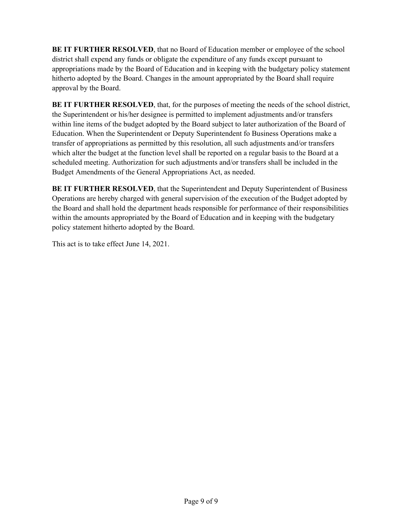**BE IT FURTHER RESOLVED**, that no Board of Education member or employee of the school district shall expend any funds or obligate the expenditure of any funds except pursuant to appropriations made by the Board of Education and in keeping with the budgetary policy statement hitherto adopted by the Board. Changes in the amount appropriated by the Board shall require approval by the Board.

**BE IT FURTHER RESOLVED**, that, for the purposes of meeting the needs of the school district, the Superintendent or his/her designee is permitted to implement adjustments and/or transfers within line items of the budget adopted by the Board subject to later authorization of the Board of Education. When the Superintendent or Deputy Superintendent fo Business Operations make a transfer of appropriations as permitted by this resolution, all such adjustments and/or transfers which alter the budget at the function level shall be reported on a regular basis to the Board at a scheduled meeting. Authorization for such adjustments and/or transfers shall be included in the Budget Amendments of the General Appropriations Act, as needed.

**BE IT FURTHER RESOLVED**, that the Superintendent and Deputy Superintendent of Business Operations are hereby charged with general supervision of the execution of the Budget adopted by the Board and shall hold the department heads responsible for performance of their responsibilities within the amounts appropriated by the Board of Education and in keeping with the budgetary policy statement hitherto adopted by the Board.

This act is to take effect June 14, 2021.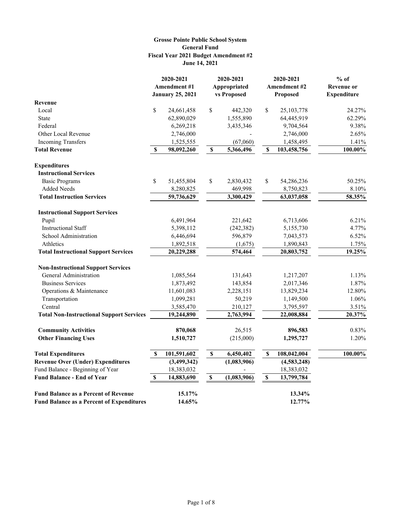#### **Grosse Pointe Public School System General Fund June 14, 2021 Fiscal Year 2021 Budget Amendment #2**

| <b>Amendment #1</b><br><b>Amendment #2</b><br><b>January 25, 2021</b><br>vs Proposed<br>Proposed<br><b>Expenditure</b><br>Revenue<br>Local<br>\$<br>$\mathbb{S}% _{t}\left( t\right) \equiv\mathbb{S}_{t}\left( t\right)$<br>\$<br>24,661,458<br>442,320<br>25,103,778<br>24.27%<br>62,890,029<br>1,555,890<br>64,445,919<br>62.29%<br>State<br>Federal<br>9,704,564<br>9.38%<br>6,269,218<br>3,435,346<br>Other Local Revenue<br>2,746,000<br>2.65%<br>2,746,000<br><b>Incoming Transfers</b><br>1,525,555<br>(67,060)<br>1,458,495<br>1.41%<br>100.00%<br><b>Total Revenue</b><br>\$<br>98,092,260<br>$\boldsymbol{\mathsf{S}}$<br>5,366,496<br>\$<br>103,458,756<br><b>Expenditures</b><br><b>Instructional Services</b><br>\$<br>\$<br><b>Basic Programs</b><br>51,455,804<br>2,830,432<br>\$<br>54,286,236<br>50.25%<br><b>Added Needs</b><br>8.10%<br>8,280,825<br>469,998<br>8,750,823<br>3,300,429<br>58.35%<br><b>Total Instruction Services</b><br>59,736,629<br>63,037,058<br><b>Instructional Support Services</b><br>6,491,964<br>221,642<br>6.21%<br>Pupil<br>6,713,606<br><b>Instructional Staff</b><br>5,398,112<br>(242, 382)<br>4.77%<br>5,155,730<br>6.52%<br>School Administration<br>6,446,694<br>596,879<br>7,043,573<br>1.75%<br>Athletics<br>1,892,518<br>1,890,843<br>(1,675)<br>574,464<br><b>Total Instructional Support Services</b><br>20,229,288<br>20,803,752<br>19.25%<br><b>Non-Instructional Support Services</b><br>General Administration<br>1,085,564<br>131,643<br>1,217,207<br>1.13%<br><b>Business Services</b><br>1,873,492<br>143,854<br>2,017,346<br>1.87%<br>2,228,151<br>12.80%<br>Operations & Maintenance<br>11,601,083<br>13,829,234<br>1,099,281<br>50,219<br>1,149,500<br>1.06%<br>Transportation<br>Central<br>3.51%<br>3,585,470<br>210,127<br>3,795,597<br>20.37%<br><b>Total Non-Instructional Support Services</b><br>19,244,890<br>2,763,994<br>22,008,884<br>870,068<br><b>Community Activities</b><br>26,515<br>896,583<br>0.83%<br><b>Other Financing Uses</b><br>1.20%<br>1,510,727<br>(215,000)<br>1,295,727<br>101,591,602<br>\$<br>$\pmb{\mathbb{S}}$<br>100.00%<br><b>Total Expenditures</b><br>\$<br>6,450,402<br>108,042,004<br>(1,083,906)<br><b>Revenue Over (Under) Expenditures</b><br>(3, 499, 342)<br>(4,583,248)<br>Fund Balance - Beginning of Year<br>18,383,032<br>18,383,032<br>$\mathbb S$<br><b>Fund Balance - End of Year</b><br>14,883,690<br>13,799,784<br>\$<br>$\mathbb S$<br>(1,083,906)<br><b>Fund Balance as a Percent of Revenue</b><br>15.17%<br>13.34% |                                                  | 2020-2021 |        | 2020-2021<br>Appropriated |  | 2020-2021 | $%$ of<br><b>Revenue or</b> |
|--------------------------------------------------------------------------------------------------------------------------------------------------------------------------------------------------------------------------------------------------------------------------------------------------------------------------------------------------------------------------------------------------------------------------------------------------------------------------------------------------------------------------------------------------------------------------------------------------------------------------------------------------------------------------------------------------------------------------------------------------------------------------------------------------------------------------------------------------------------------------------------------------------------------------------------------------------------------------------------------------------------------------------------------------------------------------------------------------------------------------------------------------------------------------------------------------------------------------------------------------------------------------------------------------------------------------------------------------------------------------------------------------------------------------------------------------------------------------------------------------------------------------------------------------------------------------------------------------------------------------------------------------------------------------------------------------------------------------------------------------------------------------------------------------------------------------------------------------------------------------------------------------------------------------------------------------------------------------------------------------------------------------------------------------------------------------------------------------------------------------------------------------------------------------------------------------------------------------------------------------------------------------------------------------------------------------------------------------------------------------------------------------------------------------------------------------------------------------------------------------------------------------------------------------|--------------------------------------------------|-----------|--------|---------------------------|--|-----------|-----------------------------|
|                                                                                                                                                                                                                                                                                                                                                                                                                                                                                                                                                                                                                                                                                                                                                                                                                                                                                                                                                                                                                                                                                                                                                                                                                                                                                                                                                                                                                                                                                                                                                                                                                                                                                                                                                                                                                                                                                                                                                                                                                                                                                                                                                                                                                                                                                                                                                                                                                                                                                                                                                  |                                                  |           |        |                           |  |           |                             |
|                                                                                                                                                                                                                                                                                                                                                                                                                                                                                                                                                                                                                                                                                                                                                                                                                                                                                                                                                                                                                                                                                                                                                                                                                                                                                                                                                                                                                                                                                                                                                                                                                                                                                                                                                                                                                                                                                                                                                                                                                                                                                                                                                                                                                                                                                                                                                                                                                                                                                                                                                  |                                                  |           |        |                           |  |           |                             |
|                                                                                                                                                                                                                                                                                                                                                                                                                                                                                                                                                                                                                                                                                                                                                                                                                                                                                                                                                                                                                                                                                                                                                                                                                                                                                                                                                                                                                                                                                                                                                                                                                                                                                                                                                                                                                                                                                                                                                                                                                                                                                                                                                                                                                                                                                                                                                                                                                                                                                                                                                  |                                                  |           |        |                           |  |           |                             |
|                                                                                                                                                                                                                                                                                                                                                                                                                                                                                                                                                                                                                                                                                                                                                                                                                                                                                                                                                                                                                                                                                                                                                                                                                                                                                                                                                                                                                                                                                                                                                                                                                                                                                                                                                                                                                                                                                                                                                                                                                                                                                                                                                                                                                                                                                                                                                                                                                                                                                                                                                  |                                                  |           |        |                           |  |           |                             |
|                                                                                                                                                                                                                                                                                                                                                                                                                                                                                                                                                                                                                                                                                                                                                                                                                                                                                                                                                                                                                                                                                                                                                                                                                                                                                                                                                                                                                                                                                                                                                                                                                                                                                                                                                                                                                                                                                                                                                                                                                                                                                                                                                                                                                                                                                                                                                                                                                                                                                                                                                  |                                                  |           |        |                           |  |           |                             |
|                                                                                                                                                                                                                                                                                                                                                                                                                                                                                                                                                                                                                                                                                                                                                                                                                                                                                                                                                                                                                                                                                                                                                                                                                                                                                                                                                                                                                                                                                                                                                                                                                                                                                                                                                                                                                                                                                                                                                                                                                                                                                                                                                                                                                                                                                                                                                                                                                                                                                                                                                  |                                                  |           |        |                           |  |           |                             |
|                                                                                                                                                                                                                                                                                                                                                                                                                                                                                                                                                                                                                                                                                                                                                                                                                                                                                                                                                                                                                                                                                                                                                                                                                                                                                                                                                                                                                                                                                                                                                                                                                                                                                                                                                                                                                                                                                                                                                                                                                                                                                                                                                                                                                                                                                                                                                                                                                                                                                                                                                  |                                                  |           |        |                           |  |           |                             |
|                                                                                                                                                                                                                                                                                                                                                                                                                                                                                                                                                                                                                                                                                                                                                                                                                                                                                                                                                                                                                                                                                                                                                                                                                                                                                                                                                                                                                                                                                                                                                                                                                                                                                                                                                                                                                                                                                                                                                                                                                                                                                                                                                                                                                                                                                                                                                                                                                                                                                                                                                  |                                                  |           |        |                           |  |           |                             |
|                                                                                                                                                                                                                                                                                                                                                                                                                                                                                                                                                                                                                                                                                                                                                                                                                                                                                                                                                                                                                                                                                                                                                                                                                                                                                                                                                                                                                                                                                                                                                                                                                                                                                                                                                                                                                                                                                                                                                                                                                                                                                                                                                                                                                                                                                                                                                                                                                                                                                                                                                  |                                                  |           |        |                           |  |           |                             |
|                                                                                                                                                                                                                                                                                                                                                                                                                                                                                                                                                                                                                                                                                                                                                                                                                                                                                                                                                                                                                                                                                                                                                                                                                                                                                                                                                                                                                                                                                                                                                                                                                                                                                                                                                                                                                                                                                                                                                                                                                                                                                                                                                                                                                                                                                                                                                                                                                                                                                                                                                  |                                                  |           |        |                           |  |           |                             |
|                                                                                                                                                                                                                                                                                                                                                                                                                                                                                                                                                                                                                                                                                                                                                                                                                                                                                                                                                                                                                                                                                                                                                                                                                                                                                                                                                                                                                                                                                                                                                                                                                                                                                                                                                                                                                                                                                                                                                                                                                                                                                                                                                                                                                                                                                                                                                                                                                                                                                                                                                  |                                                  |           |        |                           |  |           |                             |
|                                                                                                                                                                                                                                                                                                                                                                                                                                                                                                                                                                                                                                                                                                                                                                                                                                                                                                                                                                                                                                                                                                                                                                                                                                                                                                                                                                                                                                                                                                                                                                                                                                                                                                                                                                                                                                                                                                                                                                                                                                                                                                                                                                                                                                                                                                                                                                                                                                                                                                                                                  |                                                  |           |        |                           |  |           |                             |
|                                                                                                                                                                                                                                                                                                                                                                                                                                                                                                                                                                                                                                                                                                                                                                                                                                                                                                                                                                                                                                                                                                                                                                                                                                                                                                                                                                                                                                                                                                                                                                                                                                                                                                                                                                                                                                                                                                                                                                                                                                                                                                                                                                                                                                                                                                                                                                                                                                                                                                                                                  |                                                  |           |        |                           |  |           |                             |
|                                                                                                                                                                                                                                                                                                                                                                                                                                                                                                                                                                                                                                                                                                                                                                                                                                                                                                                                                                                                                                                                                                                                                                                                                                                                                                                                                                                                                                                                                                                                                                                                                                                                                                                                                                                                                                                                                                                                                                                                                                                                                                                                                                                                                                                                                                                                                                                                                                                                                                                                                  |                                                  |           |        |                           |  |           |                             |
|                                                                                                                                                                                                                                                                                                                                                                                                                                                                                                                                                                                                                                                                                                                                                                                                                                                                                                                                                                                                                                                                                                                                                                                                                                                                                                                                                                                                                                                                                                                                                                                                                                                                                                                                                                                                                                                                                                                                                                                                                                                                                                                                                                                                                                                                                                                                                                                                                                                                                                                                                  |                                                  |           |        |                           |  |           |                             |
|                                                                                                                                                                                                                                                                                                                                                                                                                                                                                                                                                                                                                                                                                                                                                                                                                                                                                                                                                                                                                                                                                                                                                                                                                                                                                                                                                                                                                                                                                                                                                                                                                                                                                                                                                                                                                                                                                                                                                                                                                                                                                                                                                                                                                                                                                                                                                                                                                                                                                                                                                  |                                                  |           |        |                           |  |           |                             |
|                                                                                                                                                                                                                                                                                                                                                                                                                                                                                                                                                                                                                                                                                                                                                                                                                                                                                                                                                                                                                                                                                                                                                                                                                                                                                                                                                                                                                                                                                                                                                                                                                                                                                                                                                                                                                                                                                                                                                                                                                                                                                                                                                                                                                                                                                                                                                                                                                                                                                                                                                  |                                                  |           |        |                           |  |           |                             |
|                                                                                                                                                                                                                                                                                                                                                                                                                                                                                                                                                                                                                                                                                                                                                                                                                                                                                                                                                                                                                                                                                                                                                                                                                                                                                                                                                                                                                                                                                                                                                                                                                                                                                                                                                                                                                                                                                                                                                                                                                                                                                                                                                                                                                                                                                                                                                                                                                                                                                                                                                  |                                                  |           |        |                           |  |           |                             |
|                                                                                                                                                                                                                                                                                                                                                                                                                                                                                                                                                                                                                                                                                                                                                                                                                                                                                                                                                                                                                                                                                                                                                                                                                                                                                                                                                                                                                                                                                                                                                                                                                                                                                                                                                                                                                                                                                                                                                                                                                                                                                                                                                                                                                                                                                                                                                                                                                                                                                                                                                  |                                                  |           |        |                           |  |           |                             |
|                                                                                                                                                                                                                                                                                                                                                                                                                                                                                                                                                                                                                                                                                                                                                                                                                                                                                                                                                                                                                                                                                                                                                                                                                                                                                                                                                                                                                                                                                                                                                                                                                                                                                                                                                                                                                                                                                                                                                                                                                                                                                                                                                                                                                                                                                                                                                                                                                                                                                                                                                  |                                                  |           |        |                           |  |           |                             |
|                                                                                                                                                                                                                                                                                                                                                                                                                                                                                                                                                                                                                                                                                                                                                                                                                                                                                                                                                                                                                                                                                                                                                                                                                                                                                                                                                                                                                                                                                                                                                                                                                                                                                                                                                                                                                                                                                                                                                                                                                                                                                                                                                                                                                                                                                                                                                                                                                                                                                                                                                  |                                                  |           |        |                           |  |           |                             |
|                                                                                                                                                                                                                                                                                                                                                                                                                                                                                                                                                                                                                                                                                                                                                                                                                                                                                                                                                                                                                                                                                                                                                                                                                                                                                                                                                                                                                                                                                                                                                                                                                                                                                                                                                                                                                                                                                                                                                                                                                                                                                                                                                                                                                                                                                                                                                                                                                                                                                                                                                  |                                                  |           |        |                           |  |           |                             |
|                                                                                                                                                                                                                                                                                                                                                                                                                                                                                                                                                                                                                                                                                                                                                                                                                                                                                                                                                                                                                                                                                                                                                                                                                                                                                                                                                                                                                                                                                                                                                                                                                                                                                                                                                                                                                                                                                                                                                                                                                                                                                                                                                                                                                                                                                                                                                                                                                                                                                                                                                  |                                                  |           |        |                           |  |           |                             |
|                                                                                                                                                                                                                                                                                                                                                                                                                                                                                                                                                                                                                                                                                                                                                                                                                                                                                                                                                                                                                                                                                                                                                                                                                                                                                                                                                                                                                                                                                                                                                                                                                                                                                                                                                                                                                                                                                                                                                                                                                                                                                                                                                                                                                                                                                                                                                                                                                                                                                                                                                  |                                                  |           |        |                           |  |           |                             |
|                                                                                                                                                                                                                                                                                                                                                                                                                                                                                                                                                                                                                                                                                                                                                                                                                                                                                                                                                                                                                                                                                                                                                                                                                                                                                                                                                                                                                                                                                                                                                                                                                                                                                                                                                                                                                                                                                                                                                                                                                                                                                                                                                                                                                                                                                                                                                                                                                                                                                                                                                  |                                                  |           |        |                           |  |           |                             |
|                                                                                                                                                                                                                                                                                                                                                                                                                                                                                                                                                                                                                                                                                                                                                                                                                                                                                                                                                                                                                                                                                                                                                                                                                                                                                                                                                                                                                                                                                                                                                                                                                                                                                                                                                                                                                                                                                                                                                                                                                                                                                                                                                                                                                                                                                                                                                                                                                                                                                                                                                  |                                                  |           |        |                           |  |           |                             |
|                                                                                                                                                                                                                                                                                                                                                                                                                                                                                                                                                                                                                                                                                                                                                                                                                                                                                                                                                                                                                                                                                                                                                                                                                                                                                                                                                                                                                                                                                                                                                                                                                                                                                                                                                                                                                                                                                                                                                                                                                                                                                                                                                                                                                                                                                                                                                                                                                                                                                                                                                  |                                                  |           |        |                           |  |           |                             |
|                                                                                                                                                                                                                                                                                                                                                                                                                                                                                                                                                                                                                                                                                                                                                                                                                                                                                                                                                                                                                                                                                                                                                                                                                                                                                                                                                                                                                                                                                                                                                                                                                                                                                                                                                                                                                                                                                                                                                                                                                                                                                                                                                                                                                                                                                                                                                                                                                                                                                                                                                  |                                                  |           |        |                           |  |           |                             |
|                                                                                                                                                                                                                                                                                                                                                                                                                                                                                                                                                                                                                                                                                                                                                                                                                                                                                                                                                                                                                                                                                                                                                                                                                                                                                                                                                                                                                                                                                                                                                                                                                                                                                                                                                                                                                                                                                                                                                                                                                                                                                                                                                                                                                                                                                                                                                                                                                                                                                                                                                  |                                                  |           |        |                           |  |           |                             |
|                                                                                                                                                                                                                                                                                                                                                                                                                                                                                                                                                                                                                                                                                                                                                                                                                                                                                                                                                                                                                                                                                                                                                                                                                                                                                                                                                                                                                                                                                                                                                                                                                                                                                                                                                                                                                                                                                                                                                                                                                                                                                                                                                                                                                                                                                                                                                                                                                                                                                                                                                  |                                                  |           |        |                           |  |           |                             |
|                                                                                                                                                                                                                                                                                                                                                                                                                                                                                                                                                                                                                                                                                                                                                                                                                                                                                                                                                                                                                                                                                                                                                                                                                                                                                                                                                                                                                                                                                                                                                                                                                                                                                                                                                                                                                                                                                                                                                                                                                                                                                                                                                                                                                                                                                                                                                                                                                                                                                                                                                  |                                                  |           |        |                           |  |           |                             |
|                                                                                                                                                                                                                                                                                                                                                                                                                                                                                                                                                                                                                                                                                                                                                                                                                                                                                                                                                                                                                                                                                                                                                                                                                                                                                                                                                                                                                                                                                                                                                                                                                                                                                                                                                                                                                                                                                                                                                                                                                                                                                                                                                                                                                                                                                                                                                                                                                                                                                                                                                  |                                                  |           |        |                           |  |           |                             |
|                                                                                                                                                                                                                                                                                                                                                                                                                                                                                                                                                                                                                                                                                                                                                                                                                                                                                                                                                                                                                                                                                                                                                                                                                                                                                                                                                                                                                                                                                                                                                                                                                                                                                                                                                                                                                                                                                                                                                                                                                                                                                                                                                                                                                                                                                                                                                                                                                                                                                                                                                  |                                                  |           |        |                           |  |           |                             |
|                                                                                                                                                                                                                                                                                                                                                                                                                                                                                                                                                                                                                                                                                                                                                                                                                                                                                                                                                                                                                                                                                                                                                                                                                                                                                                                                                                                                                                                                                                                                                                                                                                                                                                                                                                                                                                                                                                                                                                                                                                                                                                                                                                                                                                                                                                                                                                                                                                                                                                                                                  |                                                  |           |        |                           |  |           |                             |
|                                                                                                                                                                                                                                                                                                                                                                                                                                                                                                                                                                                                                                                                                                                                                                                                                                                                                                                                                                                                                                                                                                                                                                                                                                                                                                                                                                                                                                                                                                                                                                                                                                                                                                                                                                                                                                                                                                                                                                                                                                                                                                                                                                                                                                                                                                                                                                                                                                                                                                                                                  |                                                  |           |        |                           |  |           |                             |
|                                                                                                                                                                                                                                                                                                                                                                                                                                                                                                                                                                                                                                                                                                                                                                                                                                                                                                                                                                                                                                                                                                                                                                                                                                                                                                                                                                                                                                                                                                                                                                                                                                                                                                                                                                                                                                                                                                                                                                                                                                                                                                                                                                                                                                                                                                                                                                                                                                                                                                                                                  | <b>Fund Balance as a Percent of Expenditures</b> |           | 14.65% |                           |  | 12.77%    |                             |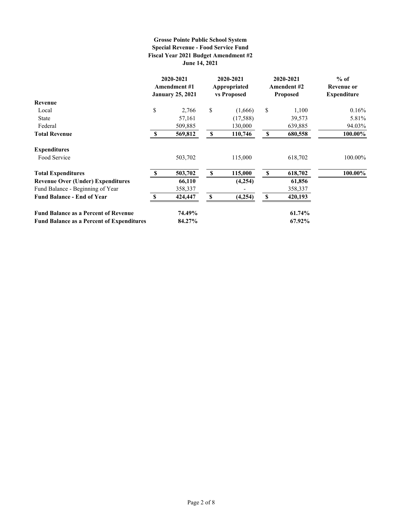#### **Grosse Pointe Public School System Special Revenue - Food Service Fund June 14, 2021 Fiscal Year 2021 Budget Amendment #2**

|                                                  |              | 2020-2021<br><b>Amendment #1</b><br><b>January 25, 2021</b> |    | 2020-2021<br>Appropriated<br>vs Proposed |          | 2020-2021<br><b>Amendent #2</b><br><b>Proposed</b> | $%$ of<br>Revenue or<br><b>Expenditure</b> |
|--------------------------------------------------|--------------|-------------------------------------------------------------|----|------------------------------------------|----------|----------------------------------------------------|--------------------------------------------|
| Revenue                                          |              |                                                             |    |                                          |          |                                                    |                                            |
| Local                                            | \$           | 2,766                                                       | \$ | (1,666)                                  | \$       | 1,100                                              | 0.16%                                      |
| State                                            |              | 57,161                                                      |    | (17,588)                                 |          | 39,573                                             | 5.81%                                      |
| Federal                                          |              | 509,885                                                     |    | 130,000                                  |          | 639,885                                            | 94.03%                                     |
| <b>Total Revenue</b>                             | <b>S</b>     | 569,812                                                     | \$ | 110,746                                  | \$       | 680,558                                            | 100.00%                                    |
| <b>Expenditures</b>                              |              |                                                             |    |                                          |          |                                                    |                                            |
| Food Service                                     |              | 503,702                                                     |    | 115,000                                  |          | 618,702                                            | 100.00%                                    |
| <b>Total Expenditures</b>                        | $\mathbf{s}$ | 503,702                                                     | S  | 115,000                                  | <b>S</b> | 618,702                                            | 100.00%                                    |
| <b>Revenue Over (Under) Expenditures</b>         |              | 66,110                                                      |    | (4,254)                                  |          | 61,856                                             |                                            |
| Fund Balance - Beginning of Year                 |              | 358,337                                                     |    |                                          |          | 358,337                                            |                                            |
| <b>Fund Balance - End of Year</b>                | £.           | 424,447                                                     | S  | (4,254)                                  | \$       | 420,193                                            |                                            |
| <b>Fund Balance as a Percent of Revenue</b>      |              | 74.49%                                                      |    |                                          |          | 61.74%                                             |                                            |
| <b>Fund Balance as a Percent of Expenditures</b> |              | 84.27%                                                      |    |                                          |          | 67.92%                                             |                                            |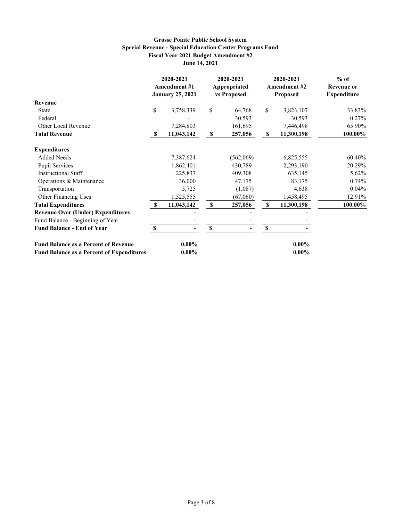#### **Grosse Pointe Public School System Special Revenue - Special Education Center Programs Fund Fiscal Year 2021 Budget Amendment #2 June 14, 2021**

|                                                  |              | 2020-2021<br><b>Amendment #1</b><br><b>January 25, 2021</b> |    | 2020-2021<br>Appropriated<br>vs Proposed |             | 2020-2021<br><b>Amendment #2</b><br><b>Proposed</b> | $%$ of<br><b>Revenue or</b><br><b>Expenditure</b> |
|--------------------------------------------------|--------------|-------------------------------------------------------------|----|------------------------------------------|-------------|-----------------------------------------------------|---------------------------------------------------|
| Revenue                                          |              |                                                             |    |                                          |             |                                                     |                                                   |
| <b>State</b>                                     | $\mathbb{S}$ | 3,758,339                                                   | \$ | 64,768                                   | \$          | 3,823,107                                           | 33.83%                                            |
| Federal                                          |              |                                                             |    | 30,593                                   |             | 30,593                                              | 0.27%                                             |
| Other Local Revenue                              |              | 7,284,803                                                   |    | 161,695                                  |             | 7,446,498                                           | 65.90%                                            |
| <b>Total Revenue</b>                             | -S           | 11,043,142                                                  | S  | 257,056                                  | $\mathbb S$ | 11,300,198                                          | 100.00%                                           |
| <b>Expenditures</b>                              |              |                                                             |    |                                          |             |                                                     |                                                   |
| <b>Added Needs</b>                               |              | 7,387,624                                                   |    | (562,069)                                |             | 6,825,555                                           | 60.40%                                            |
| <b>Pupil Services</b>                            |              | 1,862,401                                                   |    | 430,789                                  |             | 2,293,190                                           | 20.29%                                            |
| <b>Instructional Staff</b>                       |              | 225,837                                                     |    | 409,308                                  |             | 635,145                                             | 5.62%                                             |
| Operations & Maintenance                         |              | 36,000                                                      |    | 47,175                                   |             | 83,175                                              | 0.74%                                             |
| Transportation                                   |              | 5,725                                                       |    | (1,087)                                  |             | 4,638                                               | $0.04\%$                                          |
| Other Financing Uses                             |              | 1,525,555                                                   |    | (67,060)                                 |             | 1,458,495                                           | 12.91%                                            |
| <b>Total Expenditures</b>                        | -S           | 11,043,142                                                  | \$ | 257,056                                  | \$          | 11,300,198                                          | 100.00%                                           |
| <b>Revenue Over (Under) Expenditures</b>         |              |                                                             |    |                                          |             |                                                     |                                                   |
| Fund Balance - Beginning of Year                 |              |                                                             |    |                                          |             |                                                     |                                                   |
| <b>Fund Balance - End of Year</b>                | $\mathbf S$  |                                                             | \$ |                                          | \$          |                                                     |                                                   |
| <b>Fund Balance as a Percent of Revenue</b>      |              | $0.00\%$                                                    |    |                                          |             | $0.00\%$                                            |                                                   |
| <b>Fund Balance as a Percent of Expenditures</b> |              | $0.00\%$                                                    |    |                                          |             | $0.00\%$                                            |                                                   |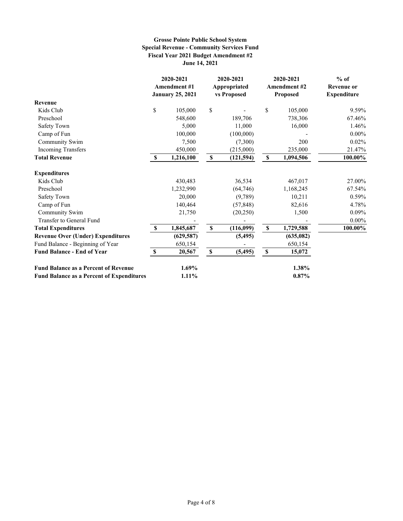#### **Grosse Pointe Public School System Special Revenue - Community Services Fund Fiscal Year 2021 Budget Amendment #2 June 14, 2021**

|                                                  |              | 2020-2021<br><b>Amendment #1</b><br><b>January 25, 2021</b> |              | 2020-2021<br>Appropriated<br>vs Proposed |             | 2020-2021<br><b>Amendment #2</b><br>Proposed | $%$ of<br><b>Revenue or</b><br><b>Expenditure</b> |
|--------------------------------------------------|--------------|-------------------------------------------------------------|--------------|------------------------------------------|-------------|----------------------------------------------|---------------------------------------------------|
| Revenue                                          |              |                                                             |              |                                          |             |                                              |                                                   |
| Kids Club                                        | \$           | 105,000                                                     | \$           |                                          | \$          | 105,000                                      | 9.59%                                             |
| Preschool                                        |              | 548,600                                                     |              | 189,706                                  |             | 738,306                                      | 67.46%                                            |
| Safety Town                                      |              | 5,000                                                       |              | 11,000                                   |             | 16,000                                       | 1.46%                                             |
| Camp of Fun                                      |              | 100,000                                                     |              | (100,000)                                |             |                                              | $0.00\%$                                          |
| Community Swim                                   |              | 7,500                                                       |              | (7,300)                                  |             | 200                                          | 0.02%                                             |
| <b>Incoming Transfers</b>                        |              | 450,000                                                     |              | (215,000)                                |             | 235,000                                      | 21.47%                                            |
| <b>Total Revenue</b>                             | $\mathbf{s}$ | 1,216,100                                                   | $\mathbf{s}$ | (121, 594)                               | $\mathbb S$ | 1,094,506                                    | 100.00%                                           |
| <b>Expenditures</b>                              |              |                                                             |              |                                          |             |                                              |                                                   |
| Kids Club                                        |              | 430,483                                                     |              | 36,534                                   |             | 467,017                                      | 27.00%                                            |
| Preschool                                        |              | 1,232,990                                                   |              | (64, 746)                                |             | 1,168,245                                    | 67.54%                                            |
| Safety Town                                      |              | 20,000                                                      |              | (9,789)                                  |             | 10,211                                       | 0.59%                                             |
| Camp of Fun                                      |              | 140,464                                                     |              | (57, 848)                                |             | 82,616                                       | 4.78%                                             |
| Community Swim                                   |              | 21,750                                                      |              | (20, 250)                                |             | 1,500                                        | 0.09%                                             |
| Transfer to General Fund                         |              |                                                             |              |                                          |             |                                              | $0.00\%$                                          |
| <b>Total Expenditures</b>                        | <b>S</b>     | 1,845,687                                                   | \$           | (116,099)                                | $\mathbb S$ | 1,729,588                                    | 100.00%                                           |
| <b>Revenue Over (Under) Expenditures</b>         |              | (629, 587)                                                  |              | (5, 495)                                 |             | (635,082)                                    |                                                   |
| Fund Balance - Beginning of Year                 |              | 650,154                                                     |              |                                          |             | 650,154                                      |                                                   |
| <b>Fund Balance - End of Year</b>                | S            | 20,567                                                      | S            | (5, 495)                                 | \$          | 15,072                                       |                                                   |
| <b>Fund Balance as a Percent of Revenue</b>      |              | $1.69\%$                                                    |              |                                          |             | 1.38%                                        |                                                   |
| <b>Fund Balance as a Percent of Expenditures</b> |              | 1.11%                                                       |              |                                          |             | 0.87%                                        |                                                   |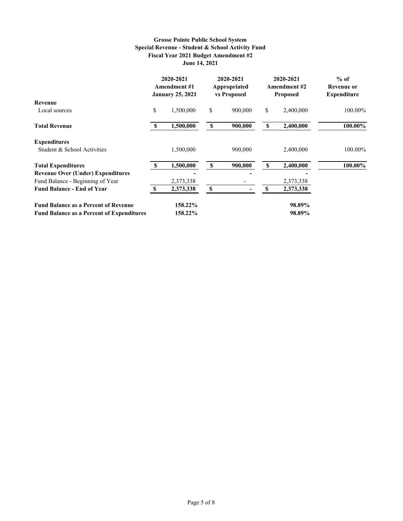#### **Grosse Pointe Public School System Special Revenue - Student & School Activity Fund Fiscal Year 2021 Budget Amendment #2 June 14, 2021**

|                                                  |              | 2020-2021<br>Amendment #1<br><b>January 25, 2021</b> |          | 2020-2021<br>Appropriated<br>vs Proposed |    | 2020-2021<br><b>Amendment #2</b><br><b>Proposed</b> | $%$ of<br><b>Revenue or</b><br><b>Expenditure</b> |
|--------------------------------------------------|--------------|------------------------------------------------------|----------|------------------------------------------|----|-----------------------------------------------------|---------------------------------------------------|
| Revenue                                          |              |                                                      |          |                                          |    |                                                     |                                                   |
| Local sources                                    | \$           | 1,500,000                                            | \$       | 900,000                                  | \$ | 2,400,000                                           | 100.00%                                           |
| <b>Total Revenue</b>                             | $\mathbf{s}$ | 1,500,000                                            | \$       | 900,000                                  | \$ | 2,400,000                                           | 100.00%                                           |
| <b>Expenditures</b>                              |              |                                                      |          |                                          |    |                                                     |                                                   |
| Student & School Activities                      |              | 1,500,000                                            |          | 900,000                                  |    | 2,400,000                                           | 100.00%                                           |
| <b>Total Expenditures</b>                        | - \$         | 1,500,000                                            | <b>S</b> | 900,000                                  | S  | 2,400,000                                           | 100.00%                                           |
| <b>Revenue Over (Under) Expenditures</b>         |              |                                                      |          |                                          |    |                                                     |                                                   |
| Fund Balance - Beginning of Year                 |              | 2,373,338                                            |          |                                          |    | 2,373,338                                           |                                                   |
| <b>Fund Balance - End of Year</b>                |              | 2,373,338                                            | S        |                                          | S  | 2,373,338                                           |                                                   |
| <b>Fund Balance as a Percent of Revenue</b>      |              | 158.22%                                              |          |                                          |    | 98.89%                                              |                                                   |
| <b>Fund Balance as a Percent of Expenditures</b> |              | 158.22%                                              |          |                                          |    | 98.89%                                              |                                                   |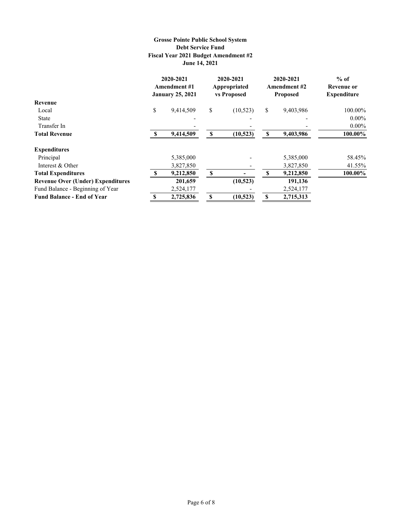#### **Grosse Pointe Public School System Debt Service Fund Fiscal Year 2021 Budget Amendment #2 June 14, 2021**

|                                          |          | 2020-2021<br><b>Amendment</b> #1<br><b>January 25, 2021</b> | 2020-2021<br>Appropriated<br>vs Proposed |           | 2020-2021<br><b>Amendment #2</b><br><b>Proposed</b> |           | $%$ of<br>Revenue or<br><b>Expenditure</b> |
|------------------------------------------|----------|-------------------------------------------------------------|------------------------------------------|-----------|-----------------------------------------------------|-----------|--------------------------------------------|
| Revenue                                  |          |                                                             |                                          |           |                                                     |           |                                            |
| Local                                    | \$       | 9,414,509                                                   | \$                                       | (10,523)  | \$                                                  | 9,403,986 | 100.00%                                    |
| <b>State</b>                             |          |                                                             |                                          |           |                                                     |           | $0.00\%$                                   |
| Transfer In                              |          |                                                             |                                          |           |                                                     |           | $0.00\%$                                   |
| <b>Total Revenue</b>                     | <b>S</b> | 9,414,509                                                   | <b>S</b>                                 | (10,523)  | \$                                                  | 9,403,986 | 100.00%                                    |
| <b>Expenditures</b>                      |          |                                                             |                                          |           |                                                     |           |                                            |
| Principal                                |          | 5,385,000                                                   |                                          |           |                                                     | 5,385,000 | 58.45%                                     |
| Interest & Other                         |          | 3,827,850                                                   |                                          |           |                                                     | 3,827,850 | 41.55%                                     |
| <b>Total Expenditures</b>                | <b>S</b> | 9,212,850                                                   | <sup>\$</sup>                            |           | S                                                   | 9,212,850 | 100.00%                                    |
| <b>Revenue Over (Under) Expenditures</b> |          | 201,659                                                     |                                          | (10,523)  |                                                     | 191,136   |                                            |
| Fund Balance - Beginning of Year         |          | 2,524,177                                                   |                                          |           |                                                     | 2,524,177 |                                            |
| <b>Fund Balance - End of Year</b>        |          | 2,725,836                                                   | S                                        | (10, 523) | S                                                   | 2,715,313 |                                            |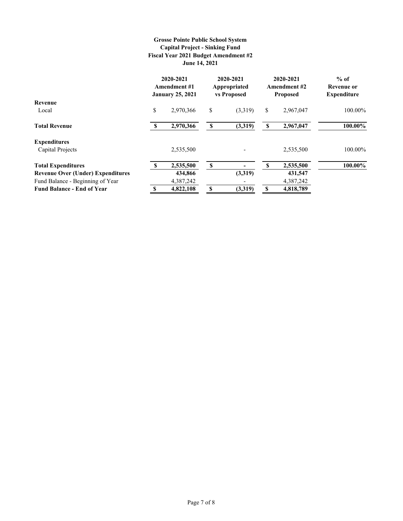#### **Grosse Pointe Public School System Capital Project - Sinking Fund Fiscal Year 2021 Budget Amendment #2 June 14, 2021**

|                                          |               | 2020-2021<br>Amendment #1<br><b>January 25, 2021</b> | 2020-2021<br>Appropriated<br>vs Proposed |         | 2020-2021<br>Amendment #2<br><b>Proposed</b> |           | $%$ of<br>Revenue or<br><b>Expenditure</b> |
|------------------------------------------|---------------|------------------------------------------------------|------------------------------------------|---------|----------------------------------------------|-----------|--------------------------------------------|
| <b>Revenue</b>                           |               |                                                      |                                          |         |                                              |           |                                            |
| Local                                    | \$            | 2.970.366                                            | \$                                       | (3,319) | \$                                           | 2,967,047 | 100.00%                                    |
| <b>Total Revenue</b>                     | -S            | 2,970,366                                            | <b>S</b>                                 | (3,319) | \$                                           | 2,967,047 | 100.00%                                    |
| <b>Expenditures</b>                      |               |                                                      |                                          |         |                                              |           |                                            |
| Capital Projects                         |               | 2,535,500                                            |                                          |         |                                              | 2,535,500 | 100.00%                                    |
| <b>Total Expenditures</b>                | <sup>\$</sup> | 2,535,500                                            | <sup>\$</sup>                            |         | S                                            | 2,535,500 | 100.00%                                    |
| <b>Revenue Over (Under) Expenditures</b> |               | 434,866                                              |                                          | (3,319) |                                              | 431,547   |                                            |
| Fund Balance - Beginning of Year         |               | 4,387,242                                            |                                          |         |                                              | 4,387,242 |                                            |
| <b>Fund Balance - End of Year</b>        | S             | 4,822,108                                            | S                                        | (3,319) | S                                            | 4,818,789 |                                            |